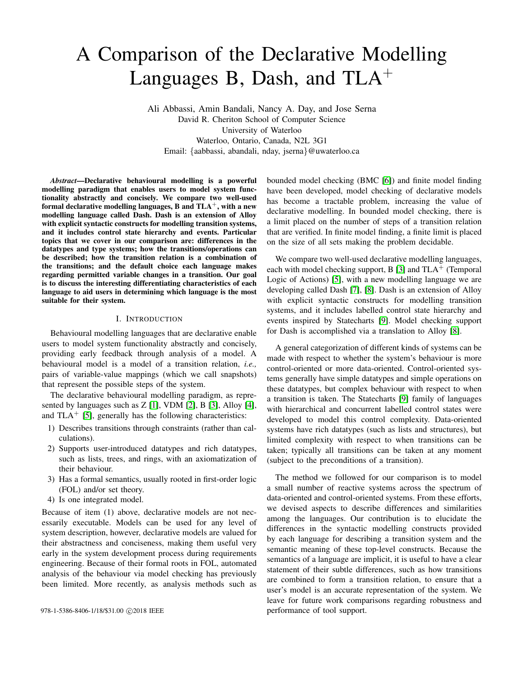# A Comparison of the Declarative Modelling Languages B, Dash, and  $TLA^+$

Ali Abbassi, Amin Bandali, Nancy A. Day, and Jose Serna David R. Cheriton School of Computer Science University of Waterloo Waterloo, Ontario, Canada, N2L 3G1 Email: {aabbassi, abandali, nday, jserna}@uwaterloo.ca

*Abstract*—Declarative behavioural modelling is a powerful modelling paradigm that enables users to model system functionality abstractly and concisely. We compare two well-used formal declarative modelling languages, B and  $TLA^+$ , with a new modelling language called Dash. Dash is an extension of Alloy with explicit syntactic constructs for modelling transition systems, and it includes control state hierarchy and events. Particular topics that we cover in our comparison are: differences in the datatypes and type systems; how the transitions/operations can be described; how the transition relation is a combination of the transitions; and the default choice each language makes regarding permitted variable changes in a transition. Our goal is to discuss the interesting differentiating characteristics of each language to aid users in determining which language is the most suitable for their system.

#### I. INTRODUCTION

Behavioural modelling languages that are declarative enable users to model system functionality abstractly and concisely, providing early feedback through analysis of a model. A behavioural model is a model of a transition relation, *i.e.,* pairs of variable-value mappings (which we call snapshots) that represent the possible steps of the system.

The declarative behavioural modelling paradigm, as represented by languages such as Z [\[1\]](#page-9-0), VDM [\[2\]](#page-9-1), B [\[3\]](#page-9-2), Alloy [\[4\]](#page-9-3), and  $TLA^+$  [\[5\]](#page-9-4), generally has the following characteristics:

- 1) Describes transitions through constraints (rather than calculations).
- 2) Supports user-introduced datatypes and rich datatypes, such as lists, trees, and rings, with an axiomatization of their behaviour.
- 3) Has a formal semantics, usually rooted in first-order logic (FOL) and/or set theory.
- 4) Is one integrated model.

Because of item (1) above, declarative models are not necessarily executable. Models can be used for any level of system description, however, declarative models are valued for their abstractness and conciseness, making them useful very early in the system development process during requirements engineering. Because of their formal roots in FOL, automated analysis of the behaviour via model checking has previously been limited. More recently, as analysis methods such as

bounded model checking (BMC [\[6\]](#page-9-5)) and finite model finding have been developed, model checking of declarative models has become a tractable problem, increasing the value of declarative modelling. In bounded model checking, there is a limit placed on the number of steps of a transition relation that are verified. In finite model finding, a finite limit is placed on the size of all sets making the problem decidable.

We compare two well-used declarative modelling languages, each with model checking support, B [\[3\]](#page-9-2) and  $TLA<sup>+</sup>$  (Temporal Logic of Actions) [\[5\]](#page-9-4), with a new modelling language we are developing called Dash [\[7\]](#page-9-6), [\[8\]](#page-9-7). Dash is an extension of Alloy with explicit syntactic constructs for modelling transition systems, and it includes labelled control state hierarchy and events inspired by Statecharts [\[9\]](#page-9-8). Model checking support for Dash is accomplished via a translation to Alloy [\[8\]](#page-9-7).

A general categorization of different kinds of systems can be made with respect to whether the system's behaviour is more control-oriented or more data-oriented. Control-oriented systems generally have simple datatypes and simple operations on these datatypes, but complex behaviour with respect to when a transition is taken. The Statecharts [\[9\]](#page-9-8) family of languages with hierarchical and concurrent labelled control states were developed to model this control complexity. Data-oriented systems have rich datatypes (such as lists and structures), but limited complexity with respect to when transitions can be taken; typically all transitions can be taken at any moment (subject to the preconditions of a transition).

The method we followed for our comparison is to model a small number of reactive systems across the spectrum of data-oriented and control-oriented systems. From these efforts, we devised aspects to describe differences and similarities among the languages. Our contribution is to elucidate the differences in the syntactic modelling constructs provided by each language for describing a transition system and the semantic meaning of these top-level constructs. Because the semantics of a language are implicit, it is useful to have a clear statement of their subtle differences, such as how transitions are combined to form a transition relation, to ensure that a user's model is an accurate representation of the system. We leave for future work comparisons regarding robustness and 978-1-5386-8406-1/18/\$31.00 © 2018 IEEE performance of tool support.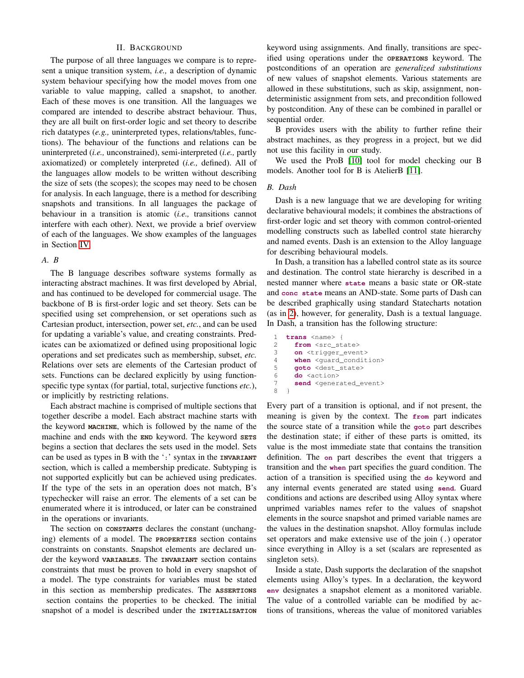#### II. BACKGROUND

The purpose of all three languages we compare is to represent a unique transition system, *i.e.,* a description of dynamic system behaviour specifying how the model moves from one variable to value mapping, called a snapshot, to another. Each of these moves is one transition. All the languages we compared are intended to describe abstract behaviour. Thus, they are all built on first-order logic and set theory to describe rich datatypes (*e.g.,* uninterpreted types, relations/tables, functions). The behaviour of the functions and relations can be uninterpreted (*i.e.,* unconstrained), semi-interpreted (*i.e.,* partly axiomatized) or completely interpreted (*i.e.,* defined). All of the languages allow models to be written without describing the size of sets (the scopes); the scopes may need to be chosen for analysis. In each language, there is a method for describing snapshots and transitions. In all languages the package of behaviour in a transition is atomic (*i.e.,* transitions cannot interfere with each other). Next, we provide a brief overview of each of the languages. We show examples of the languages in Section [IV.](#page-3-0)

## *A. B*

The B language describes software systems formally as interacting abstract machines. It was first developed by Abrial, and has continued to be developed for commercial usage. The backbone of B is first-order logic and set theory. Sets can be specified using set comprehension, or set operations such as Cartesian product, intersection, power set, *etc.*, and can be used for updating a variable's value, and creating constraints. Predicates can be axiomatized or defined using propositional logic operations and set predicates such as membership, subset, *etc.* Relations over sets are elements of the Cartesian product of sets. Functions can be declared explicitly by using functionspecific type syntax (for partial, total, surjective functions *etc.*), or implicitly by restricting relations.

Each abstract machine is comprised of multiple sections that together describe a model. Each abstract machine starts with the keyword **MACHINE**, which is followed by the name of the machine and ends with the **END** keyword. The keyword **SETS** begins a section that declares the sets used in the model. Sets can be used as types in B with the ':' syntax in the **INVARIANT** section, which is called a membership predicate. Subtyping is not supported explicitly but can be achieved using predicates. If the type of the sets in an operation does not match, B's typechecker will raise an error. The elements of a set can be enumerated where it is introduced, or later can be constrained in the operations or invariants.

The section on **CONSTANTS** declares the constant (unchanging) elements of a model. The **PROPERTIES** section contains constraints on constants. Snapshot elements are declared under the keyword **VARIABLES**. The **INVARIANT** section contains constraints that must be proven to hold in every snapshot of a model. The type constraints for variables must be stated in this section as membership predicates. The **ASSERTIONS** section contains the properties to be checked. The initial snapshot of a model is described under the **INITIALISATION**

keyword using assignments. And finally, transitions are specified using operations under the **OPERATIONS** keyword. The postconditions of an operation are *generalized substitutions* of new values of snapshot elements. Various statements are allowed in these substitutions, such as skip, assignment, nondeterministic assignment from sets, and precondition followed by postcondition. Any of these can be combined in parallel or sequential order.

B provides users with the ability to further refine their abstract machines, as they progress in a project, but we did not use this facility in our study.

We used the ProB [\[10\]](#page-9-9) tool for model checking our B models. Another tool for B is AtelierB [\[11\]](#page-9-10).

#### *B. Dash*

Dash is a new language that we are developing for writing declarative behavioural models; it combines the abstractions of first-order logic and set theory with common control-oriented modelling constructs such as labelled control state hierarchy and named events. Dash is an extension to the Alloy language for describing behavioural models.

In Dash, a transition has a labelled control state as its source and destination. The control state hierarchy is described in a nested manner where **state** means a basic state or OR-state and **conc state** means an AND-state. Some parts of Dash can be described graphically using standard Statecharts notation (as in [2\)](#page-3-1), however, for generality, Dash is a textual language. In Dash, a transition has the following structure:

```
1 trans <name> {
2 from <src state>
3 on <trigger_event>
4 when <guard condition>
5 goto <dest_state><br>6 do <action>
     do <action>
7 send <generated_event>
8 }
```
Every part of a transition is optional, and if not present, the meaning is given by the context. The **from** part indicates the source state of a transition while the **goto** part describes the destination state; if either of these parts is omitted, its value is the most immediate state that contains the transition definition. The **on** part describes the event that triggers a transition and the **when** part specifies the guard condition. The action of a transition is specified using the **do** keyword and any internal events generated are stated using **send**. Guard conditions and actions are described using Alloy syntax where unprimed variables names refer to the values of snapshot elements in the source snapshot and primed variable names are the values in the destination snapshot. Alloy formulas include set operators and make extensive use of the join (.) operator since everything in Alloy is a set (scalars are represented as singleton sets).

Inside a state, Dash supports the declaration of the snapshot elements using Alloy's types. In a declaration, the keyword **env** designates a snapshot element as a monitored variable. The value of a controlled variable can be modified by actions of transitions, whereas the value of monitored variables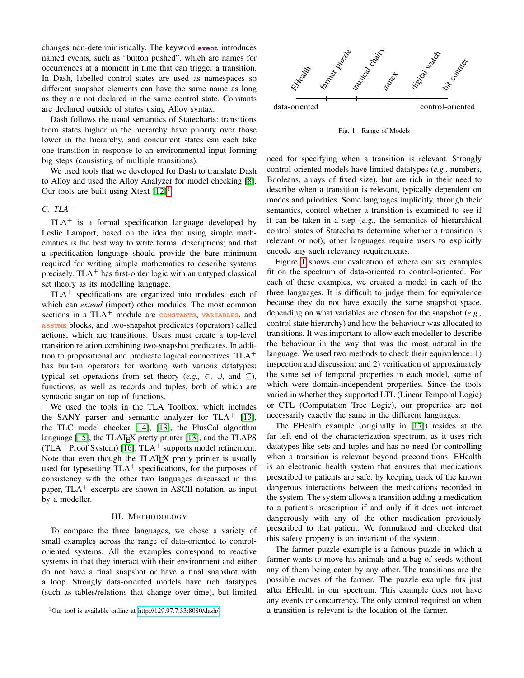changes non-deterministically. The keyword **event** introduces named events, such as "button pushed", which are names for occurrences at a moment in time that can trigger a transition. In Dash, labelled control states are used as namespaces so different snapshot elements can have the same name as long as they are not declared in the same control state. Constants are declared outside of states using Alloy syntax.

Dash follows the usual semantics of Statecharts: transitions from states higher in the hierarchy have priority over those lower in the hierarchy, and concurrent states can each take one transition in response to an environmental input forming big steps (consisting of multiple transitions).

We used tools that we developed for Dash to translate Dash to Alloy and used the Alloy Analyzer for model checking [\[8\]](#page-9-7). Our tools are built using Xtext  $[12]$ <sup>[1](#page-2-0)</sup>.

## *C. TLA*<sup>+</sup>

 $TLA<sup>+</sup>$  is a formal specification language developed by Leslie Lamport, based on the idea that using simple mathematics is the best way to write formal descriptions; and that a specification language should provide the bare minimum required for writing simple mathematics to describe systems precisely. TLA $^+$  has first-order logic with an untyped classical set theory as its modelling language.

 $TLA<sup>+</sup>$  specifications are organized into modules, each of which can *extend* (import) other modules. The most common sections in a TLA<sup>+</sup> module are **CONSTANTS**, **VARIABLES**, and **ASSUME** blocks, and two-snapshot predicates (operators) called actions, which are transitions. Users must create a top-level transition relation combining two-snapshot predicates. In addition to propositional and predicate logical connectives,  $TLA<sup>+</sup>$ has built-in operators for working with various datatypes: typical set operations from set theory (*e.g.*,  $\in$ ,  $\cup$ , and  $\subseteq$ ), functions, as well as records and tuples, both of which are syntactic sugar on top of functions.

We used the tools in the TLA Toolbox, which includes the SANY parser and semantic analyzer for TLA $^+$  [\[13\]](#page-9-12), the TLC model checker [\[14\]](#page-9-13), [\[13\]](#page-9-12), the PlusCal algorithm language  $[15]$ , the TLAT<sub>EX</sub> pretty printer  $[13]$ , and the TLAPS (TLA<sup>+</sup> Proof System) [\[16\]](#page-9-15). TLA<sup>+</sup> supports model refinement. Note that even though the TLAT<sub>EX</sub> pretty printer is usually used for typesetting  $TLA<sup>+</sup>$  specifications, for the purposes of consistency with the other two languages discussed in this paper,  $TLA<sup>+</sup>$  excerpts are shown in ASCII notation, as input by a modeller.

#### III. METHODOLOGY

To compare the three languages, we chose a variety of small examples across the range of data-oriented to controloriented systems. All the examples correspond to reactive systems in that they interact with their environment and either do not have a final snapshot or have a final snapshot with a loop. Strongly data-oriented models have rich datatypes (such as tables/relations that change over time), but limited

<span id="page-2-0"></span><sup>1</sup>Our tool is available online at<http://129.97.7.33:8080/dash/>



<span id="page-2-1"></span>Fig. 1. Range of Models

need for specifying when a transition is relevant. Strongly control-oriented models have limited datatypes (*e.g.,* numbers, Booleans, arrays of fixed size), but are rich in their need to describe when a transition is relevant, typically dependent on modes and priorities. Some languages implicitly, through their semantics, control whether a transition is examined to see if it can be taken in a step (*e.g.,* the semantics of hierarchical control states of Statecharts determine whether a transition is relevant or not); other languages require users to explicitly encode any such relevancy requirements.

Figure [1](#page-2-1) shows our evaluation of where our six examples fit on the spectrum of data-oriented to control-oriented. For each of these examples, we created a model in each of the three languages. It is difficult to judge them for equivalence because they do not have exactly the same snapshot space, depending on what variables are chosen for the snapshot (*e.g.,* control state hierarchy) and how the behaviour was allocated to transitions. It was important to allow each modeller to describe the behaviour in the way that was the most natural in the language. We used two methods to check their equivalence: 1) inspection and discussion; and 2) verification of approximately the same set of temporal properties in each model, some of which were domain-independent properties. Since the tools varied in whether they supported LTL (Linear Temporal Logic) or CTL (Computation Tree Logic), our properties are not necessarily exactly the same in the different languages.

The EHealth example (originally in [\[17\]](#page-9-16)) resides at the far left end of the characterization spectrum, as it uses rich datatypes like sets and tuples and has no need for controlling when a transition is relevant beyond preconditions. EHealth is an electronic health system that ensures that medications prescribed to patients are safe, by keeping track of the known dangerous interactions between the medications recorded in the system. The system allows a transition adding a medication to a patient's prescription if and only if it does not interact dangerously with any of the other medication previously prescribed to that patient. We formulated and checked that this safety property is an invariant of the system.

The farmer puzzle example is a famous puzzle in which a farmer wants to move his animals and a bag of seeds without any of them being eaten by any other. The transitions are the possible moves of the farmer. The puzzle example fits just after EHealth in our spectrum. This example does not have any events or concurrency. The only control required on when a transition is relevant is the location of the farmer.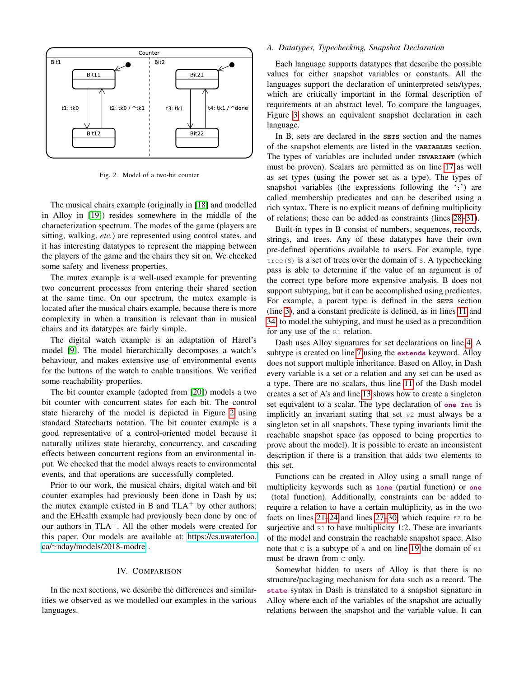

<span id="page-3-1"></span>Fig. 2. Model of a two-bit counter

The musical chairs example (originally in [\[18\]](#page-9-17) and modelled in Alloy in [\[19\]](#page-9-18)) resides somewhere in the middle of the characterization spectrum. The modes of the game (players are sitting, walking, *etc.*) are represented using control states, and it has interesting datatypes to represent the mapping between the players of the game and the chairs they sit on. We checked some safety and liveness properties.

The mutex example is a well-used example for preventing two concurrent processes from entering their shared section at the same time. On our spectrum, the mutex example is located after the musical chairs example, because there is more complexity in when a transition is relevant than in musical chairs and its datatypes are fairly simple.

The digital watch example is an adaptation of Harel's model [\[9\]](#page-9-8). The model hierarchically decomposes a watch's behaviour, and makes extensive use of environmental events for the buttons of the watch to enable transitions. We verified some reachability properties.

The bit counter example (adopted from [\[20\]](#page-9-19)) models a two bit counter with concurrent states for each bit. The control state hierarchy of the model is depicted in Figure [2](#page-3-1) using standard Statecharts notation. The bit counter example is a good representative of a control-oriented model because it naturally utilizes state hierarchy, concurrency, and cascading effects between concurrent regions from an environmental input. We checked that the model always reacts to environmental events, and that operations are successfully completed.

Prior to our work, the musical chairs, digital watch and bit counter examples had previously been done in Dash by us; the mutex example existed in B and  $TLA^+$  by other authors; and the EHealth example had previously been done by one of our authors in  $TLA^+$ . All the other models were created for this paper. Our models are available at: [https://cs.uwaterloo.](https://cs.uwaterloo.ca/~nday/models/2018-modre) ca/<sup>∼</sup>[nday/models/2018-modre](https://cs.uwaterloo.ca/~nday/models/2018-modre) .

#### IV. COMPARISON

<span id="page-3-0"></span>In the next sections, we describe the differences and similarities we observed as we modelled our examples in the various languages.

#### *A. Datatypes, Typechecking, Snapshot Declaration*

Each language supports datatypes that describe the possible values for either snapshot variables or constants. All the languages support the declaration of uninterpreted sets/types, which are critically important in the formal description of requirements at an abstract level. To compare the languages, Figure [3](#page-4-0) shows an equivalent snapshot declaration in each language.

In B, sets are declared in the **SETS** section and the names of the snapshot elements are listed in the **VARIABLES** section. The types of variables are included under **INVARIANT** (which must be proven). Scalars are permitted as on line [17](#page-4-1) as well as set types (using the power set as a type). The types of snapshot variables (the expressions following the ':') are called membership predicates and can be described using a rich syntax. There is no explicit means of defining multiplicity of relations; these can be added as constraints (lines [28–](#page-4-2)[31\)](#page-4-3).

Built-in types in B consist of numbers, sequences, records, strings, and trees. Any of these datatypes have their own pre-defined operations available to users. For example, type tree (S) is a set of trees over the domain of  $s$ . A typechecking pass is able to determine if the value of an argument is of the correct type before more expensive analysis. B does not support subtyping, but it can be accomplished using predicates. For example, a parent type is defined in the **SETS** section (line [3\)](#page-4-4), and a constant predicate is defined, as in lines [11](#page-4-5) and [34,](#page-4-6) to model the subtyping, and must be used as a precondition for any use of the R1 relation.

Dash uses Alloy signatures for set declarations on line [4.](#page-4-7) A subtype is created on line [7](#page-4-8) using the **extends** keyword. Alloy does not support multiple inheritance. Based on Alloy, in Dash every variable is a set or a relation and any set can be used as a type. There are no scalars, thus line [11](#page-4-9) of the Dash model creates a set of A's and line [13](#page-4-10) shows how to create a singleton set equivalent to a scalar. The type declaration of **one Int** is implicitly an invariant stating that set v2 must always be a singleton set in all snapshots. These typing invariants limit the reachable snapshot space (as opposed to being properties to prove about the model). It is possible to create an inconsistent description if there is a transition that adds two elements to this set.

Functions can be created in Alloy using a small range of multiplicity keywords such as **lone** (partial function) or **one** (total function). Additionally, constraints can be added to require a relation to have a certain multiplicity, as in the two facts on lines  $21-24$  $21-24$  and lines  $27-30$ , which require  $\epsilon$  to be surjective and  $R1$  to have multiplicity 1:2. These are invariants of the model and constrain the reachable snapshot space. Also note that  $\circ$  is a subtype of  $\circ$  and on line [19](#page-4-15) the domain of  $\circ$ 1 must be drawn from c only.

Somewhat hidden to users of Alloy is that there is no structure/packaging mechanism for data such as a record. The **state** syntax in Dash is translated to a snapshot signature in Alloy where each of the variables of the snapshot are actually relations between the snapshot and the variable value. It can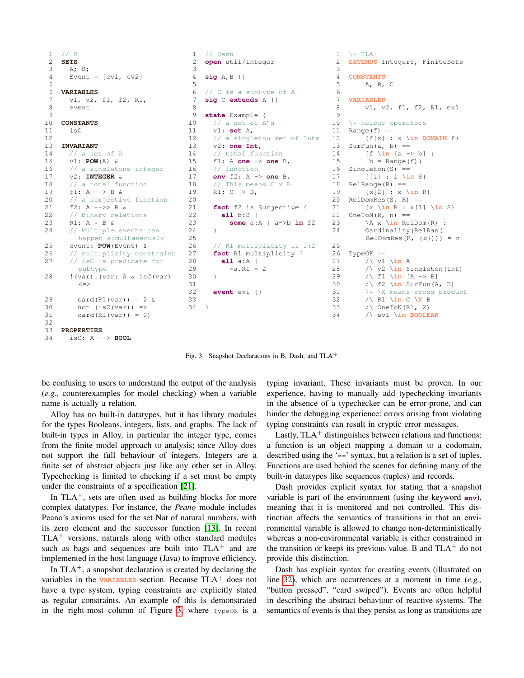```
\begin{array}{cc} 1 & // & B \\ 2 & \text{SETS} \end{array}2 SETS
 3 A; B;
 4 Event = \{ev1, ev2\}5
 6 VARIABLES
      v1, v2, f1, f2, R1,
 8 event
 9
10 CONSTANTS
11 isC
12
13 INVARIANT
14 // a set of A
15 v1: POW(A) &
16 // a singletone integer
17 v2: INTEGER &
18 // a total function
19 f1: A --> B &
20 // a surjective function
21 f2: A -->> B &
22 // binary relations
23 R1: A \times B \& 24 // Multiple
      // Multiple events can
        happen simultaneously
25 event: POW(Event) &<br>26 // multiplicity cons
      // multiplicity constraint
27 // isC is predicate for
        subtype
28 !(var).(var: A & isC(var)
         \texttt{<=}29 card(R1(var)) = 2 \&30 not (isc(var)) =>
31 card(R1(var)) = 032
33 PROPERTIES
                                       \frac{1}{2} // Dash<br>2 open ut
                                          2 open util/integer
                                       3
                                       4 sig A,B {}
                                       5
                                       6 // C is a subtype of A<br>7 \sin C extends A {}
                                          7 sig C extends A {}
                                       8
                                       9 state Example {
                                      10 // a set of A's
                                      11 v1: set A,
                                      12 // a singleton set of Ints
                                      13 v2: one Int,
                                      14 // total function
                                      15 f1: A one -> one B,
                                      16 // function
                                      17 env f2: A -> one B,
                                      18 // This means C x B
                                      19 R1: C -> B,
                                      20
                                      21 fact f2_is_Surjective {
                                      22 all b:B |
                                      23 some a:A | a->b in f2
                                      24 }
                                      25
                                      26 // R1 multiplicity is 1:2<br>27 fact R1_multiplicity {
                                            fact R1_multiplicity {
                                      28 all a:A |
                                      29 #a.R1 = 2
                                      30 }
                                      31
                                      32 event ev1 {}
                                      33
                                      34 }
                                                                             1 \times TLA+2 EXTENDS Integers, FiniteSets
                                                                             3
                                                                             4 CONSTANTS
                                                                             5 A, B, C
                                                                             6
                                                                                7 VARIABLES
                                                                             8 v1, v2, f1, f2, R1, ev1
                                                                             9
                                                                            10 \setminus * helper operators<br>11 Range(f) ==
                                                                                Range(f) ==
                                                                            12 {f[x] : x \in DOMAIN f}
                                                                            13 SurFun(a, b) ==
                                                                            14 {f \in [a \rightarrow b]}:
                                                                            15 b = Range(f)}
                                                                            16 Singleton(S) ==
                                                                            17 {{i} : i \in S}
                                                                            18 RelRange(R) ==
                                                                            19 {x[2] : x \in R}
                                                                            20 RelDomRes(S, R) ==
                                                                            21 {x \in R : x[1] \in S}
                                                                            22 OneToN(R, n) ==
                                                                            23 \lambda x \in RelDom(R) :
                                                                            24 Cardinality(RelRan(
                                                                                     RelDomRes(R, \{x\})) = n\begin{array}{c} 25 \\ 26 \end{array}TypeOK ==27 /\ v1 \in A
                                                                            28 \sqrt{v^2 \sin Singleton(Int)}<br>
29 \sqrt{f} \sin A \rightarrow B\land f1 \in [A -> B]
                                                                            30 / \ f2 \in SurFun(A, B)
                                                                            31 \star \ X means cross product<br>32 \land R1 \in C \X R
                                                                                     32 /\ R1 \in C \X B
                                                                            33 /\ OneToN(R1, 2)
                                                                            34 /\ ev1 \in BOOLEAN
```
<span id="page-4-16"></span><span id="page-4-15"></span><span id="page-4-14"></span><span id="page-4-13"></span><span id="page-4-12"></span><span id="page-4-11"></span><span id="page-4-0"></span>Fig. 3. Snapshot Declarations in B, Dash, and TLA<sup>+</sup>

be confusing to users to understand the output of the analysis (*e.g.,* counterexamples for model checking) when a variable name is actually a relation.

<span id="page-4-6"></span><span id="page-4-3"></span><span id="page-4-2"></span>34 isC: A --> **BOOL**

Alloy has no built-in datatypes, but it has library modules for the types Booleans, integers, lists, and graphs. The lack of built-in types in Alloy, in particular the integer type, comes from the finite model approach to analysis; since Alloy does not support the full behaviour of integers. Integers are a finite set of abstract objects just like any other set in Alloy. Typechecking is limited to checking if a set must be empty under the constraints of a specification [\[21\]](#page-9-20).

In  $TLA^+$ , sets are often used as building blocks for more complex datatypes. For instance, the *Peano* module includes Peano's axioms used for the set Nat of natural numbers, with its zero element and the successor function [\[13\]](#page-9-12). In recent  $TLA^+$  versions, naturals along with other standard modules such as bags and sequences are built into  $TLA<sup>+</sup>$  and are implemented in the host language (Java) to improve efficiency.

In  $TLA^+$ , a snapshot declaration is created by declaring the variables in the **VARIABLES** section. Because  $TLA<sup>+</sup>$  does not have a type system, typing constraints are explicitly stated as regular constraints. An example of this is demonstrated in the right-most column of Figure [3,](#page-4-0) where  $TypeOK$  is a

<span id="page-4-18"></span><span id="page-4-17"></span>typing invariant. These invariants must be proven. In our experience, having to manually add typechecking invariants in the absence of a typechecker can be error-prone, and can hinder the debugging experience: errors arising from violating typing constraints can result in cryptic error messages.

Lastly,  $TLA<sup>+</sup>$  distinguishes between relations and functions: a function is an object mapping a domain to a codomain, described using the '==' syntax, but a relation is a set of tuples. Functions are used behind the scenes for defining many of the built-in datatypes like sequences (tuples) and records.

Dash provides explicit syntax for stating that a snapshot variable is part of the environment (using the keyword **env**), meaning that it is monitored and not controlled. This distinction affects the semantics of transitions in that an environmental variable is allowed to change non-deterministically whereas a non-environmental variable is either constrained in the transition or keeps its previous value. B and  $TLA^+$  do not provide this distinction.

Dash has explicit syntax for creating events (illustrated on line [32\)](#page-4-16), which are occurrences at a moment in time (*e.g.,* "button pressed", "card swiped"). Events are often helpful in describing the abstract behaviour of reactive systems. The semantics of events is that they persist as long as transitions are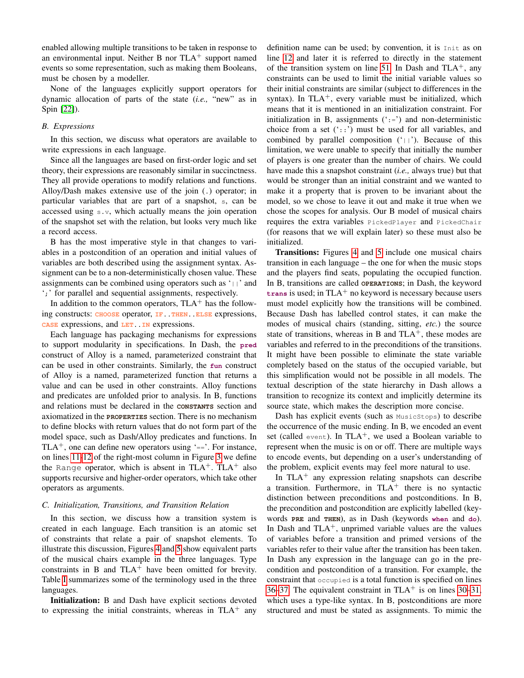enabled allowing multiple transitions to be taken in response to an environmental input. Neither B nor  $TLA^+$  support named events so some representation, such as making them Booleans, must be chosen by a modeller.

None of the languages explicitly support operators for dynamic allocation of parts of the state (*i.e.,* "new" as in Spin [\[22\]](#page-9-21)).

## *B. Expressions*

In this section, we discuss what operators are available to write expressions in each language.

Since all the languages are based on first-order logic and set theory, their expressions are reasonably similar in succinctness. They all provide operations to modify relations and functions. Alloy/Dash makes extensive use of the join (.) operator; in particular variables that are part of a snapshot, s, can be accessed using s.v, which actually means the join operation of the snapshot set with the relation, but looks very much like a record access.

B has the most imperative style in that changes to variables in a postcondition of an operation and initial values of variables are both described using the assignment syntax. Assignment can be to a non-deterministically chosen value. These assignments can be combined using operators such as  $| \cdot | \cdot \rangle$  and ';' for parallel and sequential assignments, respectively.

In addition to the common operators,  $TLA<sup>+</sup>$  has the following constructs: **CHOOSE** operator, **IF**..**THEN**..**ELSE** expressions, **CASE** expressions, and **LET**..**IN** expressions.

Each language has packaging mechanisms for expressions to support modularity in specifications. In Dash, the **pred** construct of Alloy is a named, parameterized constraint that can be used in other constraints. Similarly, the **fun** construct of Alloy is a named, parameterized function that returns a value and can be used in other constraints. Alloy functions and predicates are unfolded prior to analysis. In B, functions and relations must be declared in the **CONSTANTS** section and axiomatized in the **PROPERTIES** section. There is no mechanism to define blocks with return values that do not form part of the model space, such as Dash/Alloy predicates and functions. In  $TLA<sup>+</sup>$ , one can define new operators using '=='. For instance, on lines [11-](#page-4-17)[12](#page-4-18) of the right-most column in Figure [3](#page-4-0) we define the Range operator, which is absent in  $TLA^+$ .  $TLA^+$  also supports recursive and higher-order operators, which take other operators as arguments.

#### *C. Initialization, Transitions, and Transition Relation*

In this section, we discuss how a transition system is created in each language. Each transition is an atomic set of constraints that relate a pair of snapshot elements. To illustrate this discussion, Figures [4](#page-6-0) and [5](#page-7-0) show equivalent parts of the musical chairs example in the three languages. Type constraints in B and  $TLA<sup>+</sup>$  have been omitted for brevity. Table [I](#page-7-1) summarizes some of the terminology used in the three languages.

Initialization: B and Dash have explicit sections devoted to expressing the initial constraints, whereas in  $TLA^+$  any definition name can be used; by convention, it is Init as on line [12](#page-7-2) and later it is referred to directly in the statement of the transition system on line [51.](#page-7-3) In Dash and  $TLA^+$ , any constraints can be used to limit the initial variable values so their initial constraints are similar (subject to differences in the syntax). In TLA<sup>+</sup>, every variable must be initialized, which means that it is mentioned in an initialization constraint. For initialization in B, assignments  $($  :=') and non-deterministic choice from a set  $(:,:)$  must be used for all variables, and combined by parallel composition  $('||')$ . Because of this limitation, we were unable to specify that initially the number of players is one greater than the number of chairs. We could have made this a snapshot constraint (*i.e.,* always true) but that would be stronger than an initial constraint and we wanted to make it a property that is proven to be invariant about the model, so we chose to leave it out and make it true when we chose the scopes for analysis. Our B model of musical chairs requires the extra variables PickedPlayer and PickedChair (for reasons that we will explain later) so these must also be initialized.

Transitions: Figures [4](#page-6-0) and [5](#page-7-0) include one musical chairs transition in each language – the one for when the music stops and the players find seats, populating the occupied function. In B, transitions are called **OPERATIONS**; in Dash, the keyword  $\tau$ **trans** is used; in TLA<sup>+</sup> no keyword is necessary because users must model explicitly how the transitions will be combined. Because Dash has labelled control states, it can make the modes of musical chairs (standing, sitting, *etc.*) the source state of transitions, whereas in B and  $TLA<sup>+</sup>$ , these modes are variables and referred to in the preconditions of the transitions. It might have been possible to eliminate the state variable completely based on the status of the occupied variable, but this simplification would not be possible in all models. The textual description of the state hierarchy in Dash allows a transition to recognize its context and implicitly determine its source state, which makes the description more concise.

Dash has explicit events (such as MusicStops) to describe the occurrence of the music ending. In B, we encoded an event set (called event). In  $TLA^+$ , we used a Boolean variable to represent when the music is on or off. There are multiple ways to encode events, but depending on a user's understanding of the problem, explicit events may feel more natural to use.

In  $TLA^+$  any expression relating snapshots can describe a transition. Furthermore, in  $TLA<sup>+</sup>$  there is no syntactic distinction between preconditions and postconditions. In B, the precondition and postcondition are explicitly labelled (keywords **PRE** and **THEN**), as in Dash (keywords **when** and **do**). In Dash and  $TLA^+$ , unprimed variable values are the values of variables before a transition and primed versions of the variables refer to their value after the transition has been taken. In Dash any expression in the language can go in the precondition and postcondition of a transition. For example, the constraint that occupied is a total function is specified on lines [36–](#page-6-1)[37.](#page-6-2) The equivalent constraint in  $TLA<sup>+</sup>$  is on lines [30–](#page-7-4)[31,](#page-7-5) which uses a type-like syntax. In B, postconditions are more structured and must be stated as assignments. To mimic the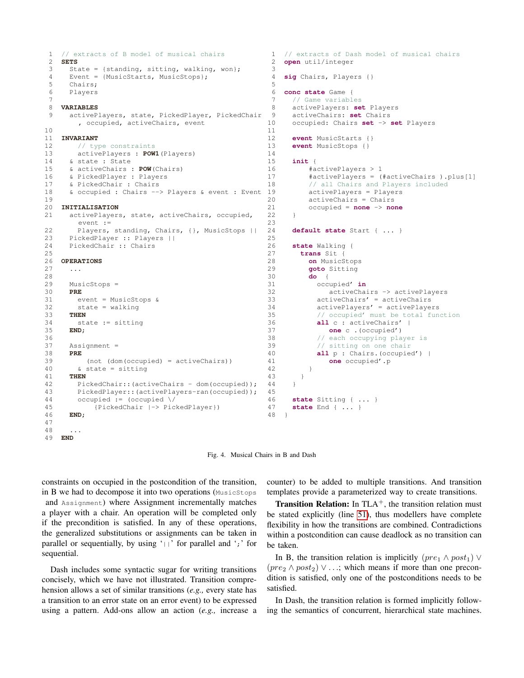```
1 // extracts of B model of musical chairs<br>2 SETS
   2 SETS
 3 State = {standing, sitting, walking, won};
 4 Event = {MusicStarts, MusicStops};
 5 Chairs;
 6 Players
 7
 8 VARIABLES
 9 activePlayers, state, PickedPlayer, PickedChair
       , occupied, activeChairs, event
10
11 INVARIANT
12 // type constraints
13 activePlayers : POW1(Players)
14 & state : State
15 & activeChairs : POW(Chairs)
16 & PickedPlayer : Players
17 & PickedChair : Chairs
18 & occupied : Chairs --> Players & event : Event 19
19
20 INITIALISATION
21 activePlayers, state, activeChairs, occupied,
       event :=
22 Players, standing, Chairs, {}, MusicStops ||<br>23 PickedPlayer :: Players ||
     PickedPlayer :: Players ||
24 PickedChair :: Chairs
25
26 OPERATIONS
27 ...
28
29 MusicStops =
30 PRE
31 event = MusicStops &
32 state = walking
33 THEN
34 state := sitting
35 END;
36
37 Assignment =
38 PRE
39 (not (dom(occupied) = activeChairs))
40 & state = sitting
41 THEN
42 PickedChair::(activeChairs - dom(occupied));<br>43 PickedPlayer::(activePlayers-ran(occupied));
       PickedPlayer::(activePlayers-ran(occupied));
44 occupied := (occupied \/
45 {PickedChair |-> PickedPlayer})
46 END;
47
48 ...
                                                    1 // extracts of Dash model of musical chairs<br>2 open util/integer
                                                      2 open util/integer
                                                    3
                                                    4 sig Chairs, Players {}
                                                    5
                                                    6 conc state Game {
                                                        // Game variables
                                                    8 activePlayers: set Players
                                                    9 activeChairs: set Chairs
                                                   10 occupied: Chairs set -> set Players
                                                   11
                                                   12 event MusicStarts {}
                                                   13 event MusicStops {}
                                                   14
                                                   15 init {
                                                   16 #activePlayers > 1
                                                   17 #activePlayers = (#activeChairs ).plus[1]
                                                   18 // all Chairs and Players included
                                                            activePlayers = Players
                                                   20 activeChairs = Chairs
                                                   21 occupied = none -> none
                                                   22 - 1\frac{23}{24}24 default state Start { ... }
                                                   25
                                                   26 state Walking {
                                                          trans Sit {
                                                   28 on MusicStops<br>29 goto Sitting
                                                   29 goto Sitting
                                                            30 do {
                                                   31 occupied' in
                                                   32 activeChairs -> activePlayers
                                                   33 activeChairs' = activeChairs
                                                   34 activePlayers' = activePlayers
                                                   35 // occupied' must be total function
                                                   36 all c : activeChairs' |
                                                   37 one c .(occupied')
                                                   38 // each occupying player is
                                                   39 // sitting on one chair
                                                   40 all p : Chairs.(occupied') |
                                                   41 one occupied'.p
                                                   42 }
                                                   43 }
                                                   44 }
                                                   45
                                                   46 state Sitting { ... }
                                                   47 state End { ... }
                                                   48 }
```

```
49 END
```
<span id="page-6-2"></span><span id="page-6-1"></span><span id="page-6-0"></span>Fig. 4. Musical Chairs in B and Dash

constraints on occupied in the postcondition of the transition, in B we had to decompose it into two operations (MusicStops and Assignment) where Assignment incrementally matches a player with a chair. An operation will be completed only if the precondition is satisfied. In any of these operations, the generalized substitutions or assignments can be taken in parallel or sequentially, by using  $\vert \cdot \vert$  for parallel and  $\vert \cdot \vert$  for sequential.

Dash includes some syntactic sugar for writing transitions concisely, which we have not illustrated. Transition comprehension allows a set of similar transitions (*e.g.,* every state has a transition to an error state on an error event) to be expressed using a pattern. Add-ons allow an action (*e.g.,* increase a counter) to be added to multiple transitions. And transition templates provide a parameterized way to create transitions.

**Transition Relation:** In  $TLA^+$ , the transition relation must be stated explicitly (line [51\)](#page-7-3), thus modellers have complete flexibility in how the transitions are combined. Contradictions within a postcondition can cause deadlock as no transition can be taken.

In B, the transition relation is implicitly  $(\text{pre}_1 \land \text{post}_1) \lor$  $(pre_2 \wedge post_2) \vee \ldots$ ; which means if more than one precondition is satisfied, only one of the postconditions needs to be satisfied.

In Dash, the transition relation is formed implicitly following the semantics of concurrent, hierarchical state machines.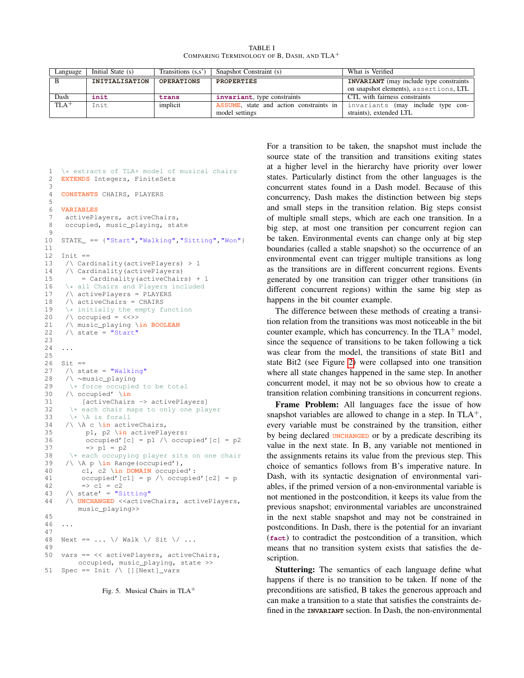TABLE I COMPARING TERMINOLOGY OF B, DASH, AND TLA<sup>+</sup>

<span id="page-7-1"></span>

| Language           | Initial State (s)     | Transitions $(s,s')$ | Snapshot Constraint (s)                       | What is Verified                               |
|--------------------|-----------------------|----------------------|-----------------------------------------------|------------------------------------------------|
|                    | <b>INITIALISATION</b> | <b>OPERATIONS</b>    | <b>PROPERTIES</b>                             | <b>INVARIANT</b> (may include type constraints |
|                    |                       |                      |                                               | on snapshot elements), assertions, LTL         |
| Dash               | init                  | trans                | invariant, type constraints                   | CTL with fairness constraints                  |
| $TLA$ <sup>+</sup> | Init                  | implicit             | <b>ASSUME</b> state and action constraints in | invariants (may include type con-              |
|                    |                       |                      | model settings                                | straints), extended LTL                        |

```
1 \star extracts of TLA+ model of musical chairs<br>2 EXTENDS Integers, FiniteSets
    EXTENDS Integers, FiniteSets
 3
 4 CONSTANTS CHAIRS, PLAYERS
 5
 6 VARIABLES
 7 activePlayers, activeChairs,
 8 occupied, music_playing, state
 9
10 STATE_ == {"Start","Walking","Sitting","Won"}
11
12 Init ==
13 /\ Cardinality(activePlayers) > 1
14 /\ Cardinality(activePlayers)
15 = Cardinality(activeChairs) + 1
16 \times all Chairs and Players included<br>17 \land activePlayers = PLAYERS
     /\ activePlayers = PLAYERS
18 \sqrt{\atop{\text{activeChairs}}} = CHAIRS<br>19 \atop{\text{initiality the empty f}}19 \setminus initially the empty function<br>20 / occupied = <<>>
     /\ occupied = \langle\langle\rangle\rangle21 /\ music_playing \in BOOLEAN
22 /\ state = "Start"23
24 ...
25
26 Sit ==<br>27 /\ st
     \sqrt{2} state = "Walking"
28 /\ ∼music_playing
29 \setminus force occupied to be total<br>30 \setminus occupied' \setminus in
     30 /\ occupied' \in
31 [activeChairs -> activePlayers]
32 \star each chair maps to only one player<br>33 \star \A is forall
33 \star \lambda is forall<br>34 / \ \ A c \ in activ
      34 /\ \A c \in activeChairs,
35 p1, p2 \in activePlayers:
36 occupied'[c] = p1 /\ occupied'[c] = p2
37 \implies p1 = p238 \setminus each occupying player sits on one chair<br>39 \setminus \ A n \ in Bange (occupied').
39 / \lambda p \in \mathbb{Z} Range(occupied'),
           40 c1, c2 \in DOMAIN occupied':
41 occupied'[c1] = p /\ occupied'[c2] = p
42 \t = \c243 /\ state' = "Sitting"
44 /\ UNCHANGED <<activeChairs, activePlayers,
          music_playing>>
45
46 ...
47
48 Next == \ldots \/ Walk \/ Sit \/ ...
49
50 vars == << activePlayers, activeChairs,
         occupied, music_playing, state >>
51 Spec == Init \wedge [][Next]_vars
```

```
Fig. 5. Musical Chairs in TLA<sup>+</sup>
```
For a transition to be taken, the snapshot must include the source state of the transition and transitions exiting states at a higher level in the hierarchy have priority over lower states. Particularly distinct from the other languages is the concurrent states found in a Dash model. Because of this concurrency, Dash makes the distinction between big steps and small steps in the transition relation. Big steps consist of multiple small steps, which are each one transition. In a big step, at most one transition per concurrent region can be taken. Environmental events can change only at big step boundaries (called a stable snapshot) so the occurrence of an environmental event can trigger multiple transitions as long as the transitions are in different concurrent regions. Events generated by one transition can trigger other transitions (in different concurrent regions) within the same big step as happens in the bit counter example.

The difference between these methods of creating a transition relation from the transitions was most noticeable in the bit counter example, which has concurrency. In the  $TLA<sup>+</sup>$  model, since the sequence of transitions to be taken following a tick was clear from the model, the transitions of state Bit1 and state Bit2 (see Figure [2\)](#page-3-1) were collapsed into one transition where all state changes happened in the same step. In another concurrent model, it may not be so obvious how to create a transition relation combining transitions in concurrent regions.

Frame Problem: All languages face the issue of how snapshot variables are allowed to change in a step. In  $TLA^+$ , every variable must be constrained by the transition, either by being declared **UNCHANGED** or by a predicate describing its value in the next state. In B, any variable not mentioned in the assignments retains its value from the previous step. This choice of semantics follows from B's imperative nature. In Dash, with its syntactic designation of environmental variables, if the primed version of a non-environmental variable is not mentioned in the postcondition, it keeps its value from the previous snapshot; environmental variables are unconstrained in the next stable snapshot and may not be constrained in postconditions. In Dash, there is the potential for an invariant (**fact**) to contradict the postcondition of a transition, which means that no transition system exists that satisfies the description.

Stuttering: The semantics of each language define what happens if there is no transition to be taken. If none of the preconditions are satisfied, B takes the generous approach and can make a transition to a state that satisfies the constraints defined in the **INVARIANT** section. In Dash, the non-environmental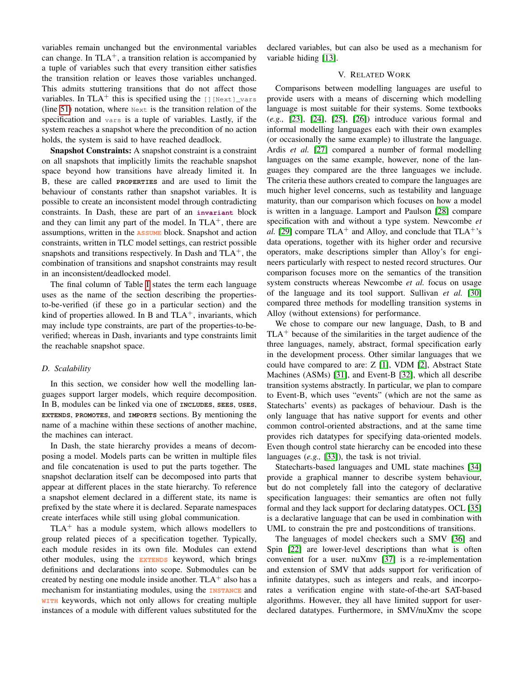variables remain unchanged but the environmental variables can change. In  $TLA^+$ , a transition relation is accompanied by a tuple of variables such that every transition either satisfies the transition relation or leaves those variables unchanged. This admits stuttering transitions that do not affect those variables. In TLA<sup>+</sup> this is specified using the  $[]$ [Next]\_vars] (line [51\)](#page-7-3) notation, where Next is the transition relation of the specification and vars is a tuple of variables. Lastly, if the system reaches a snapshot where the precondition of no action holds, the system is said to have reached deadlock.

Snapshot Constraints: A snapshot constraint is a constraint on all snapshots that implicitly limits the reachable snapshot space beyond how transitions have already limited it. In B, these are called **PROPERTIES** and are used to limit the behaviour of constants rather than snapshot variables. It is possible to create an inconsistent model through contradicting constraints. In Dash, these are part of an **invariant** block and they can limit any part of the model. In  $TLA<sup>+</sup>$ , there are assumptions, written in the **ASSUME** block. Snapshot and action constraints, written in TLC model settings, can restrict possible snapshots and transitions respectively. In Dash and  $TLA^+$ , the combination of transitions and snapshot constraints may result in an inconsistent/deadlocked model.

The final column of Table [I](#page-7-1) states the term each language uses as the name of the section describing the propertiesto-be-verified (if these go in a particular section) and the kind of properties allowed. In B and  $TLA^+$ , invariants, which may include type constraints, are part of the properties-to-beverified; whereas in Dash, invariants and type constraints limit the reachable snapshot space.

### *D. Scalability*

In this section, we consider how well the modelling languages support larger models, which require decomposition. In B, modules can be linked via one of **INCLUDES**, **SEES**, **USES**, **EXTENDS**, **PROMOTES**, and **IMPORTS** sections. By mentioning the name of a machine within these sections of another machine, the machines can interact.

In Dash, the state hierarchy provides a means of decomposing a model. Models parts can be written in multiple files and file concatenation is used to put the parts together. The snapshot declaration itself can be decomposed into parts that appear at different places in the state hierarchy. To reference a snapshot element declared in a different state, its name is prefixed by the state where it is declared. Separate namespaces create interfaces while still using global communication.

 $TLA<sup>+</sup>$  has a module system, which allows modellers to group related pieces of a specification together. Typically, each module resides in its own file. Modules can extend other modules, using the **EXTENDS** keyword, which brings definitions and declarations into scope. Submodules can be created by nesting one module inside another.  $TLA<sup>+</sup>$  also has a mechanism for instantiating modules, using the **INSTANCE** and **WITH** keywords, which not only allows for creating multiple instances of a module with different values substituted for the declared variables, but can also be used as a mechanism for variable hiding [\[13\]](#page-9-12).

## V. RELATED WORK

Comparisons between modelling languages are useful to provide users with a means of discerning which modelling language is most suitable for their systems. Some textbooks (*e.g.,* [\[23\]](#page-9-22), [\[24\]](#page-9-23), [\[25\]](#page-9-24), [\[26\]](#page-9-25)) introduce various formal and informal modelling languages each with their own examples (or occasionally the same example) to illustrate the language. Ardis *et al.* [\[27\]](#page-9-26) compared a number of formal modelling languages on the same example, however, none of the languages they compared are the three languages we include. The criteria these authors created to compare the languages are much higher level concerns, such as testability and language maturity, than our comparison which focuses on how a model is written in a language. Lamport and Paulson [\[28\]](#page-9-27) compare specification with and without a type system. Newcombe *et al.* [\[29\]](#page-9-28) compare  $TLA^+$  and Alloy, and conclude that  $TLA^+$ 's data operations, together with its higher order and recursive operators, make descriptions simpler than Alloy's for engineers particularly with respect to nested record structures. Our comparison focuses more on the semantics of the transition system constructs whereas Newcombe *et al.* focus on usage of the language and its tool support. Sullivan *et al.* [\[30\]](#page-9-29) compared three methods for modelling transition systems in Alloy (without extensions) for performance.

We chose to compare our new language, Dash, to B and  $TLA<sup>+</sup>$  because of the similarities in the target audience of the three languages, namely, abstract, formal specification early in the development process. Other similar languages that we could have compared to are: Z [\[1\]](#page-9-0), VDM [\[2\]](#page-9-1), Abstract State Machines (ASMs) [\[31\]](#page-9-30), and Event-B [\[32\]](#page-9-31), which all describe transition systems abstractly. In particular, we plan to compare to Event-B, which uses "events" (which are not the same as Statecharts' events) as packages of behaviour. Dash is the only language that has native support for events and other common control-oriented abstractions, and at the same time provides rich datatypes for specifying data-oriented models. Even though control state hierarchy can be encoded into these languages (*e.g.,* [\[33\]](#page-9-32)), the task is not trivial.

Statecharts-based languages and UML state machines [\[34\]](#page-9-33) provide a graphical manner to describe system behaviour, but do not completely fall into the category of declarative specification languages: their semantics are often not fully formal and they lack support for declaring datatypes. OCL [\[35\]](#page-9-34) is a declarative language that can be used in combination with UML to constrain the pre and postconditions of transitions.

The languages of model checkers such a SMV [\[36\]](#page-9-35) and Spin [\[22\]](#page-9-21) are lower-level descriptions than what is often convenient for a user. nuXmv [\[37\]](#page-10-0) is a re-implementation and extension of SMV that adds support for verification of infinite datatypes, such as integers and reals, and incorporates a verification engine with state-of-the-art SAT-based algorithms. However, they all have limited support for userdeclared datatypes. Furthermore, in SMV/nuXmv the scope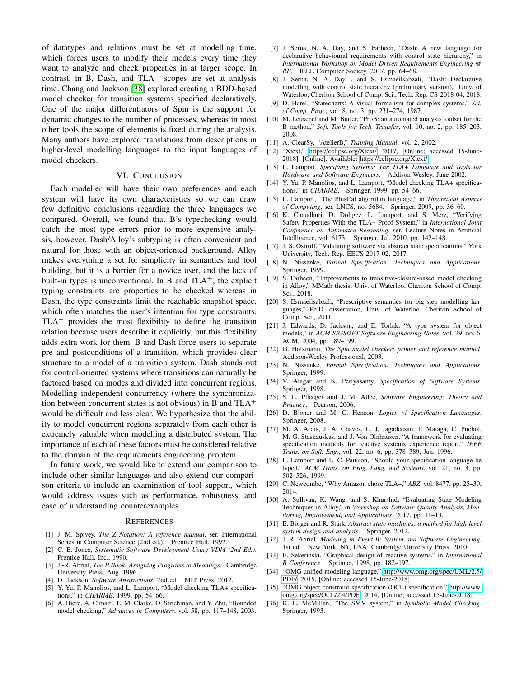of datatypes and relations must be set at modelling time, which forces users to modify their models every time they want to analyze and check properties in at larger scope. In contrast, in B, Dash, and  $TLA<sup>+</sup>$  scopes are set at analysis time. Chang and Jackson [\[38\]](#page-10-1) explored creating a BDD-based model checker for transition systems specified declaratively. One of the major differentiators of Spin is the support for dynamic changes to the number of processes, whereas in most other tools the scope of elements is fixed during the analysis. Many authors have explored translations from descriptions in higher-level modelling languages to the input languages of model checkers.

#### VI. CONCLUSION

Each modeller will have their own preferences and each system will have its own characteristics so we can draw few definitive conclusions regarding the three languages we compared. Overall, we found that B's typechecking would catch the most type errors prior to more expensive analysis, however, Dash/Alloy's subtyping is often convenient and natural for those with an object-oriented background. Alloy makes everything a set for simplicity in semantics and tool building, but it is a barrier for a novice user, and the lack of built-in types is unconventional. In B and  $TLA^+$ , the explicit typing constraints are properties to be checked whereas in Dash, the type constraints limit the reachable snapshot space, which often matches the user's intention for type constraints.  $TLA<sup>+</sup>$  provides the most flexibility to define the transition relation because users describe it explicitly, but this flexibility adds extra work for them. B and Dash force users to separate pre and postconditions of a transition, which provides clear structure to a model of a transition system. Dash stands out for control-oriented systems where transitions can naturally be factored based on modes and divided into concurrent regions. Modelling independent concurrency (where the synchronization between concurrent states is not obvious) in B and  $TLA<sup>+</sup>$ would be difficult and less clear. We hypothesize that the ability to model concurrent regions separately from each other is extremely valuable when modelling a distributed system. The importance of each of these factors must be considered relative to the domain of the requirements engineering problem.

In future work, we would like to extend our comparison to include other similar languages and also extend our comparison criteria to include an examination of tool support, which would address issues such as performance, robustness, and ease of understanding counterexamples.

#### **REFERENCES**

- <span id="page-9-0"></span>[1] J. M. Spivey, *The Z Notation: A reference manual*, ser. International Series in Computer Science (2nd ed.). Prentice Hall, 1992.
- <span id="page-9-1"></span>[2] C. B. Jones, *Systematic Software Development Using VDM (2nd Ed.)*. Prentice-Hall, Inc., 1990.
- <span id="page-9-2"></span>[3] J.-R. Abrial, *The B Book: Assigning Programs to Meanings*. Cambridge University Press, Aug. 1996.
- <span id="page-9-3"></span>[4] D. Jackson, *Software Abstractions*, 2nd ed. MIT Press, 2012.
- <span id="page-9-4"></span>Y. Yu, P. Manolios, and L. Lamport, "Model checking TLA+ specifications," in *CHARME*, 1999, pp. 54–66.
- <span id="page-9-5"></span>[6] A. Biere, A. Cimatti, E. M. Clarke, O. Strichman, and Y. Zhu, "Bounded model checking," *Advances in Computers*, vol. 58, pp. 117–148, 2003.
- <span id="page-9-6"></span>[7] J. Serna, N. A. Day, and S. Farheen, "Dash: A new language for declarative behavioural requirements with control state hierarchy," in *International Workshop on Model-Driven Requirements Engineering @ RE*. IEEE Computer Society, 2017, pp. 64–68.
- <span id="page-9-7"></span>[8] J. Serna, N. A. Day, , and S. Esmaeilsabzali, "Dash: Declarative modelling with control state hierarchy (preliminary version)," Univ. of Waterloo, Cheriton School of Comp. Sci., Tech. Rep. CS-2018-04, 2018.
- <span id="page-9-8"></span>[9] D. Harel, "Statecharts: A visual formalism for complex systems," *Sci. of Comp. Prog.*, vol. 8, no. 3, pp. 231–274, 1987.
- <span id="page-9-9"></span>[10] M. Leuschel and M. Butler, "ProB: an automated analysis toolset for the B method," *Soft. Tools for Tech. Transfer*, vol. 10, no. 2, pp. 185–203, 2008.
- <span id="page-9-10"></span>[11] A. ClearSy, "AtelierB," *Training Manual*, vol. 2, 2002.
- <span id="page-9-11"></span>[12] "Xtext," [https://eclipse.org/Xtext/,](https://eclipse.org/Xtext/) 2017, [Online; accessed 15-June-2018]. [Online]. Available:<https://eclipse.org/Xtext/>
- <span id="page-9-12"></span>[13] L. Lamport, *Specifying Systems: The TLA+ Language and Tools for Hardware and Software Engineers*. Addison-Wesley, June 2002.
- <span id="page-9-13"></span>[14] Y. Yu, P. Manolios, and L. Lamport, "Model checking TLA+ specifications," in *CHARME*. Springer, 1999, pp. 54–66.
- <span id="page-9-14"></span>[15] L. Lamport, "The PlusCal algorithm language," in *Theoretical Aspects of Computing*, ser. LNCS, no. 5684. Springer, 2009, pp. 36–60.
- <span id="page-9-15"></span>[16] K. Chaudhuri, D. Doligez, L. Lamport, and S. Merz, "Verifying Safety Properties With the TLA+ Proof System," in *International Joint Conference on Automated Reasoning*, ser. Lecture Notes in Artificial Intelligence, vol. 6173. Springer, Jul. 2010, pp. 142–148.
- <span id="page-9-16"></span>[17] J. S. Ostroff, "Validating software via abstract state specifications," York University, Tech. Rep. EECS-2017-02, 2017.
- <span id="page-9-17"></span>[18] N. Nissanke, *Formal Specification: Techniques and Applications*. Springer, 1999.
- <span id="page-9-18"></span>[19] S. Farheen, "Improvements to transitive-closure-based model checking in Alloy," MMath thesis, Univ. of Waterloo, Cheriton School of Comp. Sci., 2018.
- <span id="page-9-19"></span>[20] S. Esmaeilsabzali, "Prescriptive semantics for big-step modelling languages," Ph.D. dissertation, Univ. of Waterloo, Cheriton School of Comp. Sci., 2011.
- <span id="page-9-20"></span>[21] J. Edwards, D. Jackson, and E. Torlak, "A type system for object models," in *ACM SIGSOFT Software Engineering Notes*, vol. 29, no. 6. ACM, 2004, pp. 189–199.
- <span id="page-9-21"></span>[22] G. Holzmann, *The Spin model checker: primer and reference manual*. Addison-Wesley Professional, 2003.
- <span id="page-9-22"></span>[23] N. Nissanke, *Formal Specification: Techniques and Applications*. Springer, 1999.
- <span id="page-9-23"></span>[24] V. Alagar and K. Periyasamy, *Specification of Software Systems*. Springer, 1998.
- <span id="page-9-24"></span>[25] S. L. Pfleeger and J. M. Atlee, *Software Engineering: Theory and Practice*. Pearson, 2006.
- <span id="page-9-25"></span>[26] D. Bjoner and M. C. Henson, *Logics of Specification Languages*. Springer, 2008.
- <span id="page-9-26"></span>[27] M. A. Ardis, J. A. Chaves, L. J. Jagadeesan, P. Mataga, C. Puchol, M. G. Staskauskas, and J. Von Olnhausen, "A framework for evaluating specification methods for reactive systems experience report," *IEEE Trans. on Soft. Eng.*, vol. 22, no. 6, pp. 378–389, Jun. 1996.
- <span id="page-9-27"></span>[28] L. Lamport and L. C. Paulson, "Should your specification language be typed," *ACM Trans. on Prog. Lang. and Systems*, vol. 21, no. 3, pp. 502–526, 1999.
- <span id="page-9-28"></span>[29] C. Newcombe, "Why Amazon chose TLA+," *ABZ*, vol. 8477, pp. 25–39, 2014.
- <span id="page-9-29"></span>[30] A. Sullivan, K. Wang, and S. Khurshid, "Evaluating State Modeling Techniques in Alloy," in *Workshop on Software Quality Analysis, Monitoring, Improvement, and Applications*, 2017, pp. 11–13.
- <span id="page-9-30"></span>[31] E. Börger and R. Stärk, Abstract state machines: a method for high-level *system design and analysis*. Springer, 2012.
- <span id="page-9-31"></span>[32] J.-R. Abrial, *Modeling in Event-B: System and Software Engineering*, 1st ed. New York, NY, USA: Cambridge University Press, 2010.
- <span id="page-9-32"></span>[33] E. Sekerinski, "Graphical design of reactive systems," in *International B Conference*. Springer, 1998, pp. 182–197.
- <span id="page-9-33"></span>[34] "OMG unified modeling language," [http://www.omg.org/spec/UML/2.5/](http://www.omg.org/spec/UML/2.5/PDF/) [PDF/,](http://www.omg.org/spec/UML/2.5/PDF/) 2015, [Online; accessed 15-June-2018].
- <span id="page-9-34"></span>[35] "OMG object constraint specification (OCL) specification," [http://www.](http://www.omg.org/spec/OCL/2.4/PDF) [omg.org/spec/OCL/2.4/PDF,](http://www.omg.org/spec/OCL/2.4/PDF) 2014, [Online; accessed 15-June-2018].
- <span id="page-9-35"></span>[36] K. L. McMillan, "The SMV system," in *Symbolic Model Checking*. Springer, 1993.